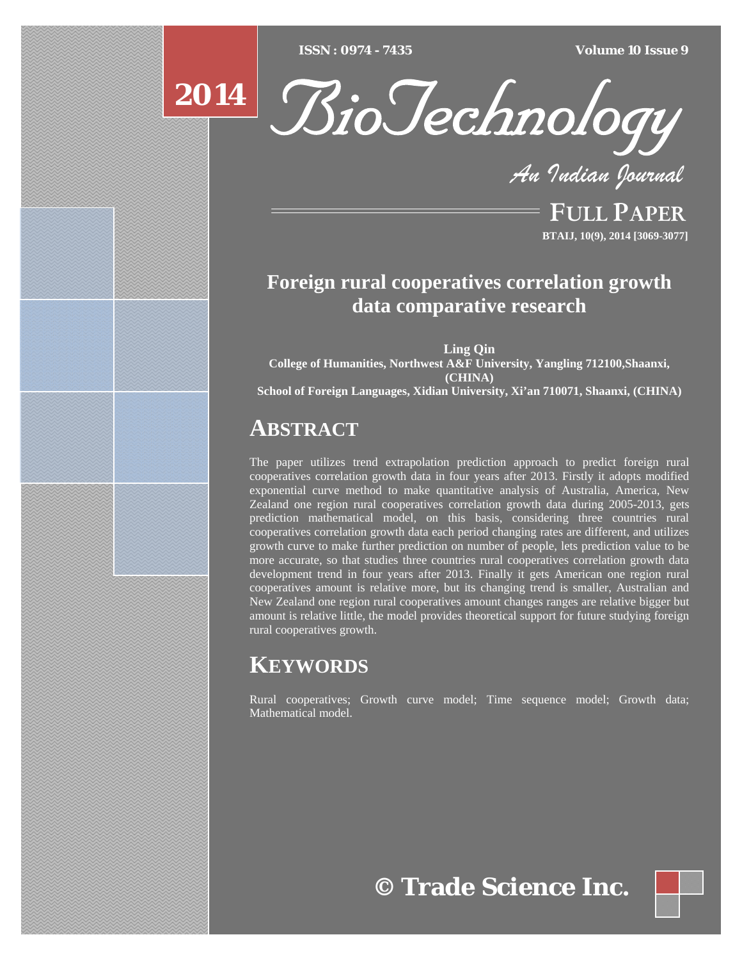[Type text] [Type text] [Type text] *ISSN : 0974 - 7435 Volume 10 Issue 9*





*An Indian Journal*

FULL PAPER **BTAIJ, 10(9), 2014 [3069-3077]**

## **Foreign rural cooperatives correlation growth data comparative research**

**Ling Qin College of Humanities, Northwest A&F University, Yangling 712100,Shaanxi, (CHINA) School of Foreign Languages, Xidian University, Xi'an 710071, Shaanxi, (CHINA)**

## **ABSTRACT**

The paper utilizes trend extrapolation prediction approach to predict foreign rural cooperatives correlation growth data in four years after 2013. Firstly it adopts modified exponential curve method to make quantitative analysis of Australia, America, New Zealand one region rural cooperatives correlation growth data during 2005-2013, gets prediction mathematical model, on this basis, considering three countries rural cooperatives correlation growth data each period changing rates are different, and utilizes growth curve to make further prediction on number of people, lets prediction value to be more accurate, so that studies three countries rural cooperatives correlation growth data development trend in four years after 2013. Finally it gets American one region rural cooperatives amount is relative more, but its changing trend is smaller, Australian and New Zealand one region rural cooperatives amount changes ranges are relative bigger but amount is relative little, the model provides theoretical support for future studying foreign rural cooperatives growth.

# **KEYWORDS**

Rural cooperatives; Growth curve model; Time sequence model; Growth data; Mathematical model.

**© Trade Science Inc.**

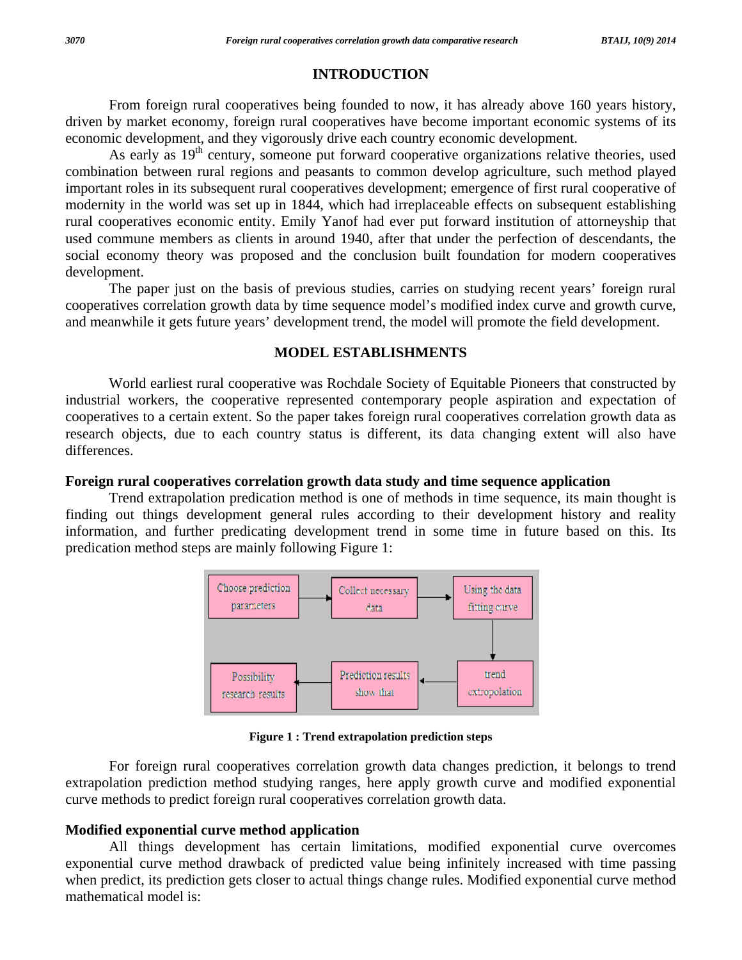## **INTRODUCTION**

 From foreign rural cooperatives being founded to now, it has already above 160 years history, driven by market economy, foreign rural cooperatives have become important economic systems of its economic development, and they vigorously drive each country economic development.

As early as 19<sup>th</sup> century, someone put forward cooperative organizations relative theories, used combination between rural regions and peasants to common develop agriculture, such method played important roles in its subsequent rural cooperatives development; emergence of first rural cooperative of modernity in the world was set up in 1844, which had irreplaceable effects on subsequent establishing rural cooperatives economic entity. Emily Yanof had ever put forward institution of attorneyship that used commune members as clients in around 1940, after that under the perfection of descendants, the social economy theory was proposed and the conclusion built foundation for modern cooperatives development.

 The paper just on the basis of previous studies, carries on studying recent years' foreign rural cooperatives correlation growth data by time sequence model's modified index curve and growth curve, and meanwhile it gets future years' development trend, the model will promote the field development.

#### **MODEL ESTABLISHMENTS**

 World earliest rural cooperative was Rochdale Society of Equitable Pioneers that constructed by industrial workers, the cooperative represented contemporary people aspiration and expectation of cooperatives to a certain extent. So the paper takes foreign rural cooperatives correlation growth data as research objects, due to each country status is different, its data changing extent will also have differences.

#### **Foreign rural cooperatives correlation growth data study and time sequence application**

 Trend extrapolation predication method is one of methods in time sequence, its main thought is finding out things development general rules according to their development history and reality information, and further predicating development trend in some time in future based on this. Its predication method steps are mainly following Figure 1:



**Figure 1 : Trend extrapolation prediction steps** 

For foreign rural cooperatives correlation growth data changes prediction, it belongs to trend extrapolation prediction method studying ranges, here apply growth curve and modified exponential curve methods to predict foreign rural cooperatives correlation growth data.

## **Modified exponential curve method application**

 All things development has certain limitations, modified exponential curve overcomes exponential curve method drawback of predicted value being infinitely increased with time passing when predict, its prediction gets closer to actual things change rules. Modified exponential curve method mathematical model is: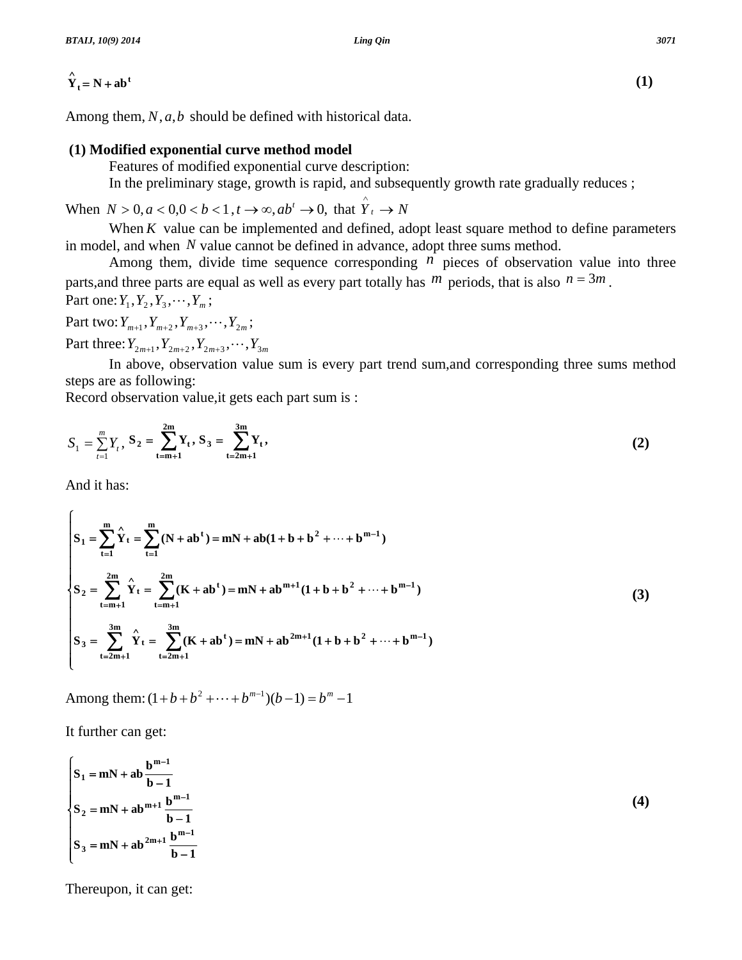Among them, *N*, *a*,*b* should be defined with historical data.

#### **(1) Modified exponential curve method model**

Features of modified exponential curve description:

In the preliminary stage, growth is rapid, and subsequently growth rate gradually reduces ;

When  $N > 0, a < 0, 0 < b < 1, t \rightarrow \infty, ab^t \rightarrow 0$ , that  $\hat{Y}_t \rightarrow N$ 

When  $K$  value can be implemented and defined, adopt least square method to define parameters in model, and when *N* value cannot be defined in advance, adopt three sums method.

Among them, divide time sequence corresponding  $n$  pieces of observation value into three parts, and three parts are equal as well as every part totally has  $m$  periods, that is also  $n = 3m$ . Part one:  $Y_1, Y_2, Y_3, \dots, Y_m$ ;

Part two:  $Y_{m+1}$ ,  $Y_{m+2}$ ,  $Y_{m+3}$ ,  $\cdots$ ,  $Y_{2m}$ ;

Part three:  $Y_{2m+1}$ ,  $Y_{2m+2}$ ,  $Y_{2m+3}$ ,  $\cdots$ ,  $Y_{3m}$ 

 In above, observation value sum is every part trend sum,and corresponding three sums method steps are as following:

Record observation value,it gets each part sum is :

$$
S_1 = \sum_{t=1}^{m} Y_t, S_2 = \sum_{t=m+1}^{2m} Y_t, S_3 = \sum_{t=2m+1}^{3m} Y_t,
$$
 (2)

And it has:

$$
S_{1} = \sum_{t=1}^{m} \hat{Y}_{t} = \sum_{t=1}^{m} (N + ab^{t}) = mN + ab(1 + b + b^{2} + \dots + b^{m-1})
$$
  
\n
$$
S_{2} = \sum_{t=m+1}^{2m} \hat{Y}_{t} = \sum_{t=m+1}^{2m} (K + ab^{t}) = mN + ab^{m+1}(1 + b + b^{2} + \dots + b^{m-1})
$$
  
\n
$$
S_{3} = \sum_{t=2m+1}^{3m} \hat{Y}_{t} = \sum_{t=2m+1}^{3m} (K + ab^{t}) = mN + ab^{2m+1}(1 + b + b^{2} + \dots + b^{m-1})
$$
  
\n(3)

Among them:  $(1 + b + b^2 + \cdots + b^{m-1})(b-1) = b^m - 1$ 

It further can get:

$$
\begin{cases}\nS_1 = mN + ab \frac{b^{m-1}}{b-1} \\
S_2 = mN + ab^{m+1} \frac{b^{m-1}}{b-1} \\
S_3 = mN + ab^{2m+1} \frac{b^{m-1}}{b-1}\n\end{cases}
$$
\n(4)

Thereupon, it can get: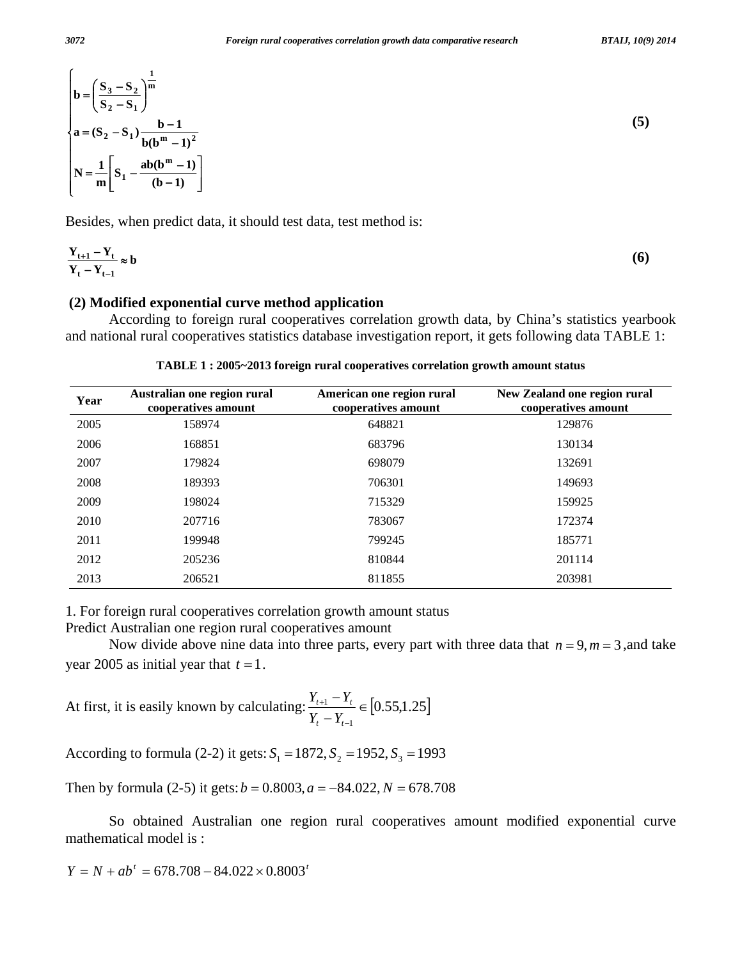$$
b = \left(\frac{S_3 - S_2}{S_2 - S_1}\right)^{\frac{1}{m}}
$$
  
a = (S<sub>2</sub> - S<sub>1</sub>)  $\frac{b - 1}{b(b^m - 1)^2}$   
N =  $\frac{1}{m} \left[S_1 - \frac{ab(b^m - 1)}{(b - 1)}\right]$  (5)

Besides, when predict data, it should test data, test method is:

$$
\frac{Y_{t+1} - Y_t}{Y_t - Y_{t-1}} \approx b \tag{6}
$$

#### **(2) Modified exponential curve method application**

 According to foreign rural cooperatives correlation growth data, by China's statistics yearbook and national rural cooperatives statistics database investigation report, it gets following data TABLE 1:

|  |  | TABLE 1 : 2005~2013 foreign rural cooperatives correlation growth amount status |  |
|--|--|---------------------------------------------------------------------------------|--|
|  |  |                                                                                 |  |

| Year | Australian one region rural<br>cooperatives amount | American one region rural<br>cooperatives amount | New Zealand one region rural<br>cooperatives amount |
|------|----------------------------------------------------|--------------------------------------------------|-----------------------------------------------------|
| 2005 | 158974                                             | 648821                                           | 129876                                              |
| 2006 | 168851                                             | 683796                                           | 130134                                              |
| 2007 | 179824                                             | 698079                                           | 132691                                              |
| 2008 | 189393                                             | 706301                                           | 149693                                              |
| 2009 | 198024                                             | 715329                                           | 159925                                              |
| 2010 | 207716                                             | 783067                                           | 172374                                              |
| 2011 | 199948                                             | 799245                                           | 185771                                              |
| 2012 | 205236                                             | 810844                                           | 201114                                              |
| 2013 | 206521                                             | 811855                                           | 203981                                              |

1. For foreign rural cooperatives correlation growth amount status

Predict Australian one region rural cooperatives amount

Now divide above nine data into three parts, every part with three data that  $n = 9, m = 3$ , and take year 2005 as initial year that  $t = 1$ .

At first, it is easily known by calculating:  $\frac{1}{2}$   $\frac{1}{2}$   $\frac{1}{2}$   $\in$  [0.55,1.25]  $\frac{1 - Y_t}{-Y_{t-1}} \in$ − +  $t^{-1}$  $t+1$   $\qquad t$  $Y_t - Y$  $Y_{t+1} - Y_t$ 

According to formula (2-2) it gets:  $S_1 = 1872$ ,  $S_2 = 1952$ ,  $S_3 = 1993$ 

Then by formula (2-5) it gets: $b = 0.8003$ ,  $a = -84.022$ ,  $N = 678.708$ 

 So obtained Australian one region rural cooperatives amount modified exponential curve mathematical model is :

$$
Y = N + ab^{t} = 678.708 - 84.022 \times 0.8003^{t}
$$

 $\epsilon$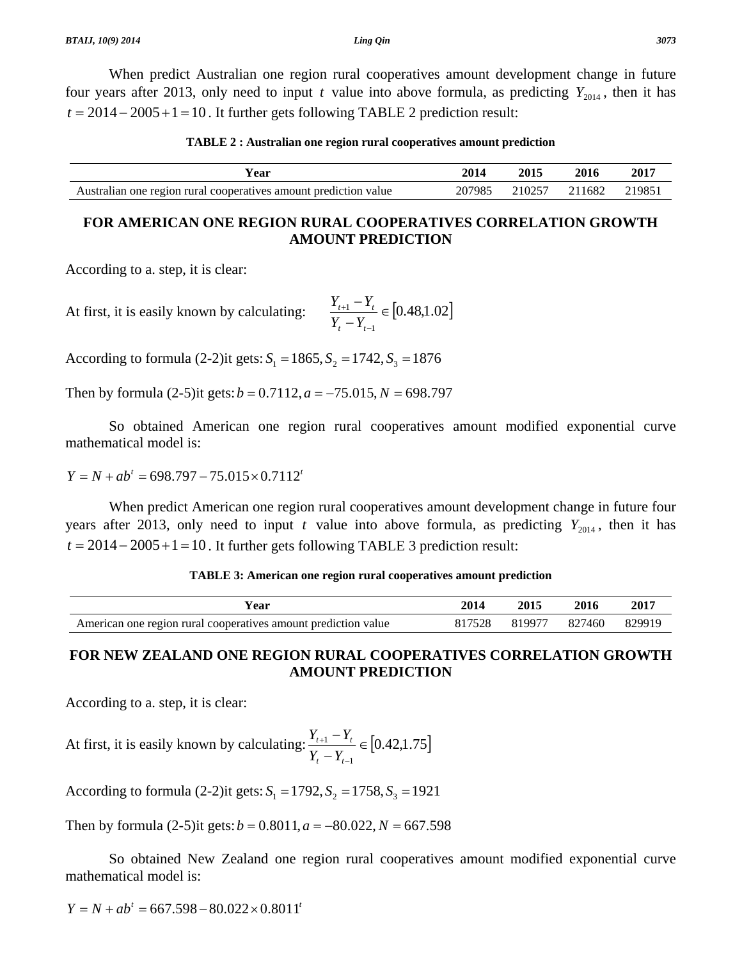When predict Australian one region rural cooperatives amount development change in future four years after 2013, only need to input *t* value into above formula, as predicting  $Y_{2014}$ , then it has  $t = 2014 - 2005 + 1 = 10$ . It further gets following TABLE 2 prediction result:

| TABLE 2 : Australian one region rural cooperatives amount prediction |  |  |  |
|----------------------------------------------------------------------|--|--|--|
|----------------------------------------------------------------------|--|--|--|

| Year                                                             | 2014   | 2015   | 2016   | 2017   |
|------------------------------------------------------------------|--------|--------|--------|--------|
| Australian one region rural cooperatives amount prediction value | 207985 | 210257 | 211682 | 219851 |

## **FOR AMERICAN ONE REGION RURAL COOPERATIVES CORRELATION GROWTH AMOUNT PREDICTION**

According to a. step, it is clear:

At first, it is easily known by calculating:  $\frac{1}{\epsilon}$   $\frac{1}{\epsilon}$  =  $\left| 0.48,1.02 \right|$  $\frac{1 - Y_t}{-Y_{t-1}} \in$ − +  $t^{-1}$  $t+1$   $\qquad t$  $Y_t - Y$  $Y_{t+1} - Y$ 

According to formula (2-2)it gets:  $S_1 = 1865$ ,  $S_2 = 1742$ ,  $S_3 = 1876$ 

Then by formula  $(2-5)$ it gets:  $b = 0.7112$ ,  $a = -75.015$ ,  $N = 698.797$ 

 So obtained American one region rural cooperatives amount modified exponential curve mathematical model is:

 $Y = N + ab^{t} = 698.797 - 75.015 \times 0.7112^{t}$ 

 When predict American one region rural cooperatives amount development change in future four years after 2013, only need to input *t* value into above formula, as predicting  $Y_{2014}$ , then it has  $t = 2014 - 2005 + 1 = 10$ . It further gets following TABLE 3 prediction result:

| TABLE 3: American one region rural cooperatives amount prediction |  |  |  |  |  |  |  |  |
|-------------------------------------------------------------------|--|--|--|--|--|--|--|--|
|-------------------------------------------------------------------|--|--|--|--|--|--|--|--|

| Year                                                           | 2014   | 2015 | 2016          | 2017   |
|----------------------------------------------------------------|--------|------|---------------|--------|
| American one region rural cooperatives amount prediction value | 817528 |      | 819977 827460 | 829919 |

## **FOR NEW ZEALAND ONE REGION RURAL COOPERATIVES CORRELATION GROWTH AMOUNT PREDICTION**

According to a. step, it is clear:

At first, it is easily known by calculating:  $\frac{1}{2}$   $\frac{1}{2}$   $\frac{1}{2}$   $\in$  [0.42,1.75]  $\frac{1 - Y_t}{-Y_{t-1}} \in$ − +  $t^{-1}$  $t+1$   $\qquad$   $t$  $Y_t - Y$  $Y_{t+1} - Y$ 

According to formula (2-2)it gets:  $S_1 = 1792$ ,  $S_2 = 1758$ ,  $S_3 = 1921$ 

Then by formula  $(2-5)$ it gets:  $b = 0.8011$ ,  $a = -80.022$ ,  $N = 667.598$ 

 So obtained New Zealand one region rural cooperatives amount modified exponential curve mathematical model is:

 $Y = N + ab^{t} = 667.598 - 80.022 \times 0.8011^{t}$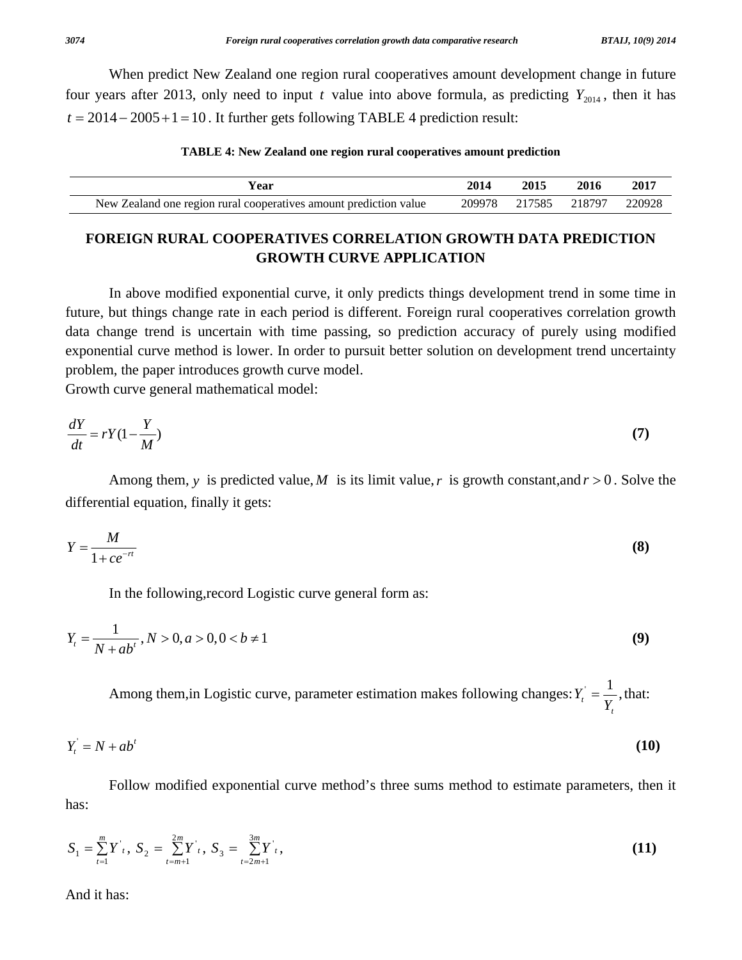When predict New Zealand one region rural cooperatives amount development change in future four years after 2013, only need to input *t* value into above formula, as predicting  $Y_{2014}$ , then it has  $t = 2014 - 2005 + 1 = 10$ . It further gets following TABLE 4 prediction result:

#### **TABLE 4: New Zealand one region rural cooperatives amount prediction**

| Vear                                                              | 2014   | 2015   | 2016   | 2017   |
|-------------------------------------------------------------------|--------|--------|--------|--------|
| New Zealand one region rural cooperatives amount prediction value | 209978 | 217585 | 218797 | 220928 |

## **FOREIGN RURAL COOPERATIVES CORRELATION GROWTH DATA PREDICTION GROWTH CURVE APPLICATION**

 In above modified exponential curve, it only predicts things development trend in some time in future, but things change rate in each period is different. Foreign rural cooperatives correlation growth data change trend is uncertain with time passing, so prediction accuracy of purely using modified exponential curve method is lower. In order to pursuit better solution on development trend uncertainty problem, the paper introduces growth curve model.

Growth curve general mathematical model:

$$
\frac{dY}{dt} = rY(1 - \frac{Y}{M})\tag{7}
$$

Among them, *y* is predicted value, *M* is its limit value, *r* is growth constant, and  $r > 0$ . Solve the differential equation, finally it gets:

$$
Y = \frac{M}{1 + ce^{-rt}}\tag{8}
$$

In the following,record Logistic curve general form as:

$$
Y_t = \frac{1}{N + ab^t}, N > 0, a > 0, 0 < b \neq 1
$$
\n(9)

Among them, in Logistic curve, parameter estimation makes following changes:  $Y_i = \frac{1}{n}$ , *t*  $Y'_t = \frac{1}{Y_t}$ , that:

$$
Y_t = N + ab^t \tag{10}
$$

 Follow modified exponential curve method's three sums method to estimate parameters, then it has:

$$
S_1 = \sum_{t=1}^{m} Y^t, \ S_2 = \sum_{t=m+1}^{2m} Y^t, \ S_3 = \sum_{t=2m+1}^{3m} Y^t,
$$
 (11)

And it has: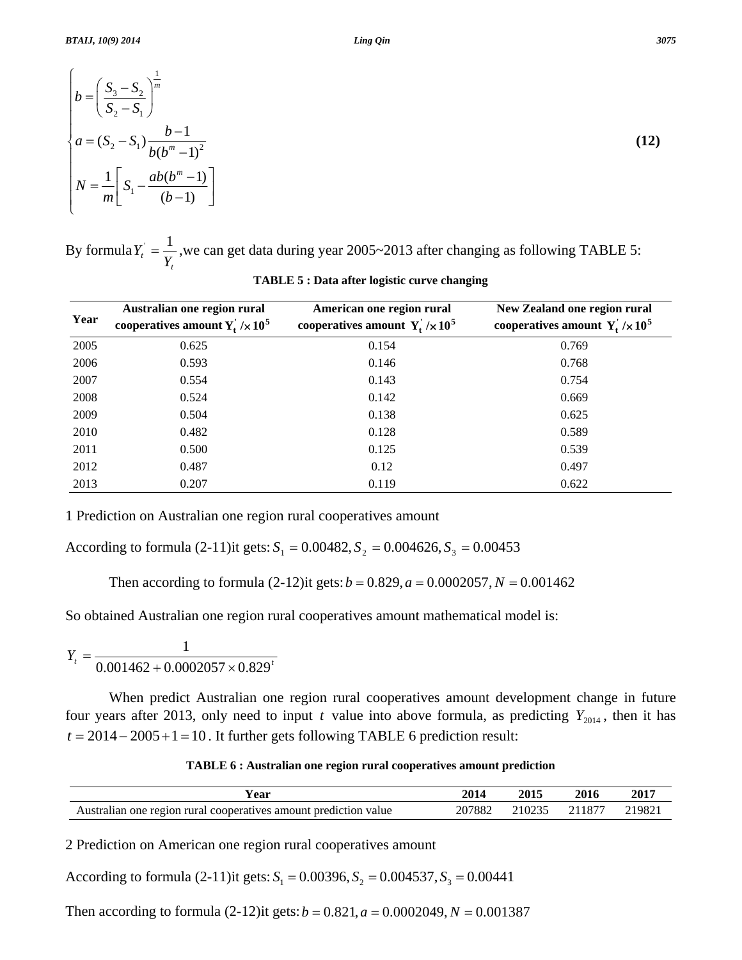$$
\begin{cases}\nb = \left(\frac{S_3 - S_2}{S_2 - S_1}\right)^{\frac{1}{m}} \\
a = (S_2 - S_1) \frac{b - 1}{b(b^m - 1)^2} \\
N = \frac{1}{m} \left[ S_1 - \frac{ab(b^m - 1)}{(b - 1)} \right]\n\end{cases}
$$
\n(12)

By formula  $\frac{t}{Y_t}$  $Y_t = \frac{1}{2}$ , we can get data during year 2005~2013 after changing as following TABLE 5:

| Year | Australian one region rural<br>cooperatives amount $Y_t / \times 10^5$ | American one region rural<br>cooperatives amount $Y_t / \times 10^5$ | New Zealand one region rural<br>cooperatives amount $Y_t / \times 10^5$ |
|------|------------------------------------------------------------------------|----------------------------------------------------------------------|-------------------------------------------------------------------------|
| 2005 | 0.625                                                                  | 0.154                                                                | 0.769                                                                   |
| 2006 | 0.593                                                                  | 0.146                                                                | 0.768                                                                   |
| 2007 | 0.554                                                                  | 0.143                                                                | 0.754                                                                   |
| 2008 | 0.524                                                                  | 0.142                                                                | 0.669                                                                   |
| 2009 | 0.504                                                                  | 0.138                                                                | 0.625                                                                   |
| 2010 | 0.482                                                                  | 0.128                                                                | 0.589                                                                   |
| 2011 | 0.500                                                                  | 0.125                                                                | 0.539                                                                   |
| 2012 | 0.487                                                                  | 0.12                                                                 | 0.497                                                                   |
| 2013 | 0.207                                                                  | 0.119                                                                | 0.622                                                                   |

**TABLE 5 : Data after logistic curve changing** 

1 Prediction on Australian one region rural cooperatives amount

According to formula (2-11)it gets:  $S_1 = 0.00482$ ,  $S_2 = 0.004626$ ,  $S_3 = 0.00453$ 

Then according to formula  $(2-12)$ it gets:  $b = 0.829$ ,  $a = 0.0002057$ ,  $N = 0.001462$ 

So obtained Australian one region rural cooperatives amount mathematical model is:

$$
Y_t = \frac{1}{0.001462 + 0.0002057 \times 0.829^t}
$$

 When predict Australian one region rural cooperatives amount development change in future four years after 2013, only need to input *t* value into above formula, as predicting  $Y_{2014}$ , then it has  $t = 2014 - 2005 + 1 = 10$ . It further gets following TABLE 6 prediction result:

**TABLE 6 : Australian one region rural cooperatives amount prediction** 

| r ear                                                            | 2014   | 2015 | 2016          | 2017   |
|------------------------------------------------------------------|--------|------|---------------|--------|
| Australian one region rural cooperatives amount prediction value | 207882 |      | 210235 211877 | 219821 |

2 Prediction on American one region rural cooperatives amount

According to formula  $(2-11)$ it gets:  $S_1 = 0.00396$ ,  $S_2 = 0.004537$ ,  $S_3 = 0.00441$ 

Then according to formula  $(2-12)$ it gets:  $b = 0.821$ ,  $a = 0.0002049$ ,  $N = 0.001387$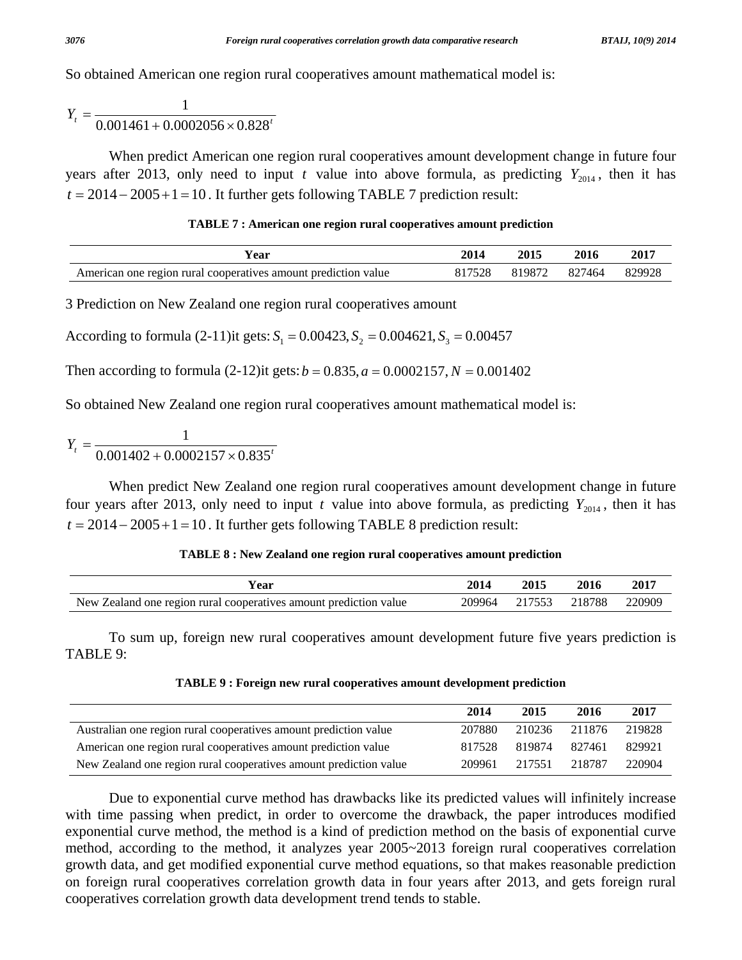So obtained American one region rural cooperatives amount mathematical model is:

 $Y_t = \frac{1}{0.001461 + 0.0002056 \times 0.828^t}$ 

When predict American one region rural cooperatives amount development change in future four years after 2013, only need to input *t* value into above formula, as predicting  $Y_{2014}$ , then it has  $t = 2014 - 2005 + 1 = 10$ . It further gets following TABLE 7 prediction result:

#### **TABLE 7 : American one region rural cooperatives amount prediction**

| Y ear                                                          | 2014   | 2015 | 2016          | 2017   |
|----------------------------------------------------------------|--------|------|---------------|--------|
| American one region rural cooperatives amount prediction value | 817528 |      | 819872 827464 | 829928 |

3 Prediction on New Zealand one region rural cooperatives amount

According to formula (2-11)it gets:  $S_1 = 0.00423$ ,  $S_2 = 0.004621$ ,  $S_3 = 0.00457$ 

Then according to formula  $(2-12)$ it gets:  $b = 0.835$ ,  $a = 0.0002157$ ,  $N = 0.001402$ 

So obtained New Zealand one region rural cooperatives amount mathematical model is:

 $Y_t = \frac{1}{0.001402 + 0.0002157 \times 0.835^t}$ 

 When predict New Zealand one region rural cooperatives amount development change in future four years after 2013, only need to input *t* value into above formula, as predicting  $Y_{2014}$ , then it has  $t = 2014 - 2005 + 1 = 10$ . It further gets following TABLE 8 prediction result:

#### **TABLE 8 : New Zealand one region rural cooperatives amount prediction**

| ′ear                                                                                          | 201<br>70 L T | 2015<br>____ | 2016<br>____ | 2017   |
|-----------------------------------------------------------------------------------------------|---------------|--------------|--------------|--------|
| <b>New</b><br>rura<br>prediction<br>cooperatives<br>value<br>⁄.ealanc<br>one region<br>amount | 209964        | 17550        | 8788         | 220909 |

To sum up, foreign new rural cooperatives amount development future five years prediction is TABLE 9:

|  | TABLE 9 : Foreign new rural cooperatives amount development prediction |
|--|------------------------------------------------------------------------|
|  |                                                                        |

|                                                                   | 2014   | 2015          | 2016   | 2017   |
|-------------------------------------------------------------------|--------|---------------|--------|--------|
| Australian one region rural cooperatives amount prediction value  | 207880 | 210236 211876 |        | 219828 |
| American one region rural cooperatives amount prediction value    | 817528 | 819874 827461 |        | 829921 |
| New Zealand one region rural cooperatives amount prediction value |        | 209961 217551 | 218787 | 220904 |

Due to exponential curve method has drawbacks like its predicted values will infinitely increase with time passing when predict, in order to overcome the drawback, the paper introduces modified exponential curve method, the method is a kind of prediction method on the basis of exponential curve method, according to the method, it analyzes year 2005~2013 foreign rural cooperatives correlation growth data, and get modified exponential curve method equations, so that makes reasonable prediction on foreign rural cooperatives correlation growth data in four years after 2013, and gets foreign rural cooperatives correlation growth data development trend tends to stable.